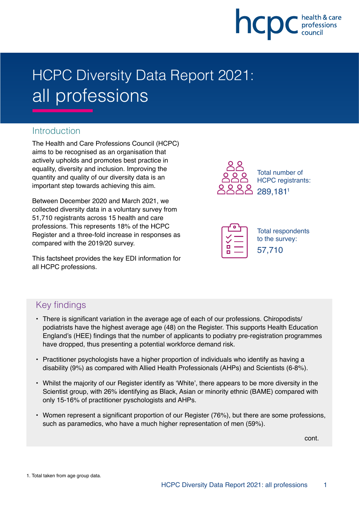

# HCPC Diversity Data Report 2021: all professions

# Introduction

The Health and Care Professions Council (HCPC) aims to be recognised as an organisation that actively upholds and promotes best practice in equality, diversity and inclusion. Improving the quantity and quality of our diversity data is an important step towards achieving this aim.

Between December 2020 and March 2021, we collected diversity data in a voluntary survey from 51,710 registrants across 15 health and care professions. This represents 18% of the HCPC Register and a three-fold increase in responses as compared with the 2019/20 survey.

This factsheet provides the key EDI information for all HCPC professions.





# Key findings

- There is significant variation in the average age of each of our professions. Chiropodists/ podiatrists have the highest average age (48) on the Register. This supports Health Education England's (HEE) findings that the number of applicants to podiatry pre-registration programmes have dropped, thus presenting a potential workforce demand risk.
- Practitioner psychologists have a higher proportion of individuals who identify as having a disability (9%) as compared with Allied Health Professionals (AHPs) and Scientists (6-8%).
- Whilst the majority of our Register identify as 'White', there appears to be more diversity in the Scientist group, with 26% identifying as Black, Asian or minority ethnic (BAME) compared with only 15-16% of practitioner pyschologists and AHPs.
- Women represent a significant proportion of our Register (76%), but there are some professions, such as paramedics, who have a much higher representation of men (59%).

cont.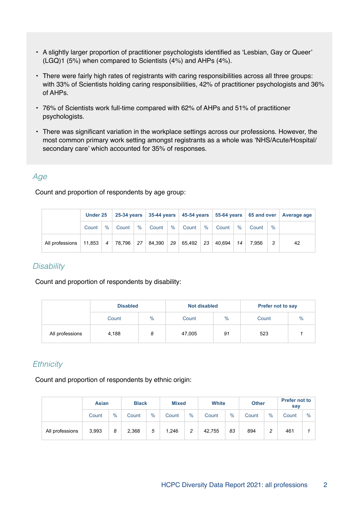- A slightly larger proportion of practitioner psychologists identified as 'Lesbian, Gay or Queer' (LGQ)1 (5%) when compared to Scientists (4%) and AHPs (4%).
- There were fairly high rates of registrants with caring responsibilities across all three groups: with 33% of Scientists holding caring responsibilities, 42% of practitioner psychologists and 36% of AHPs.
- 76% of Scientists work full-time compared with 62% of AHPs and 51% of practitioner psychologists.
- There was significant variation in the workplace settings across our professions. However, the most common primary work setting amongst registrants as a whole was 'NHS/Acute/Hospital/ secondary care' which accounted for 35% of responses.

#### Age

Count and proportion of respondents by age group:

|                 | Under 25 |                |        | 25-34 years 35-44 years 45-54 years 55-64 years 65 and over Average age |        |      |        |      |        |      |       |      |    |
|-----------------|----------|----------------|--------|-------------------------------------------------------------------------|--------|------|--------|------|--------|------|-------|------|----|
|                 | Count    | $\%$           | Count  | $\%$                                                                    | Count  | $\%$ | Count  | $\%$ | Count  | $\%$ | Count | $\%$ |    |
| All professions | 11.853   | $\overline{4}$ | 78.796 | 27                                                                      | 84,390 | 29   | 65.492 | 23   | 40.694 | 14   | 7.956 |      | 42 |

## **Disability**

Count and proportion of respondents by disability:

|                 | <b>Disabled</b> |      | <b>Not disabled</b> |      | <b>Prefer not to say</b> |               |  |
|-----------------|-----------------|------|---------------------|------|--------------------------|---------------|--|
|                 | Count           | $\%$ | Count               | $\%$ | Count                    | $\frac{0}{0}$ |  |
| All professions | 4,188           | 8    | 47,005              | 91   | 523                      |               |  |

## **Ethnicity**

Count and proportion of respondents by ethnic origin:

|                 | <b>Asian</b> |      | <b>Black</b> |      | <b>Mixed</b> | <b>White</b> |        |      | <b>Other</b> |        | <b>Prefer not to</b><br>say |               |
|-----------------|--------------|------|--------------|------|--------------|--------------|--------|------|--------------|--------|-----------------------------|---------------|
|                 | Count        | $\%$ | Count        | $\%$ | Count        | $\%$         | Count  | $\%$ | Count        | $\%$   | Count                       | $\frac{0}{0}$ |
| All professions | 3,993        | 8    | 2,368        | 5    | 1,246        | 2            | 42,755 | 83   | 894          | っ<br>∼ | 461                         |               |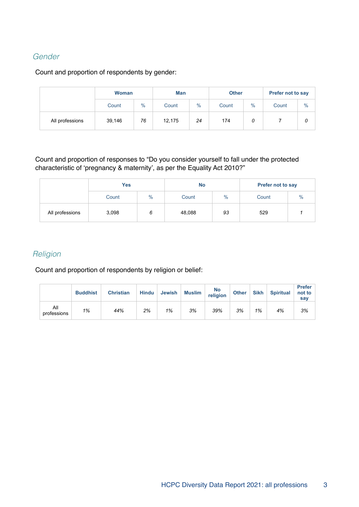## Gender

## Count and proportion of respondents by gender:

|                 | <b>Woman</b><br>$\%$<br>Count |    | <b>Man</b> |      | <b>Other</b> |      | <b>Prefer not to say</b> |               |  |
|-----------------|-------------------------------|----|------------|------|--------------|------|--------------------------|---------------|--|
|                 |                               |    | Count      | $\%$ | Count        | $\%$ | Count                    | $\frac{0}{0}$ |  |
| All professions | 39,146                        | 76 | 12,175     | 24   | 174          | 0    |                          |               |  |

Count and proportion of responses to "Do you consider yourself to fall under the protected characteristic of 'pregnancy & maternity', as per the Equality Act 2010?"

|                 | <b>Yes</b> |               | <b>No</b> |      | <b>Prefer not to say</b> |      |  |
|-----------------|------------|---------------|-----------|------|--------------------------|------|--|
|                 | Count      | $\frac{0}{0}$ | Count     | $\%$ | Count                    | $\%$ |  |
| All professions | 3,098      | 6             | 48,088    | 93   | 529                      |      |  |

## **Religion**

Count and proportion of respondents by religion or belief:

|                    | <b>Buddhist</b> | <b>Christian</b> | <b>Hindu</b> | Jewish | <b>Muslim</b> | No<br>religion | <b>Other</b> | <b>Sikh</b> | <b>Spiritual</b> | <b>Prefer</b><br>not to<br>say |
|--------------------|-----------------|------------------|--------------|--------|---------------|----------------|--------------|-------------|------------------|--------------------------------|
| All<br>professions | 1%              | 44%              | 2%           | 1%     | 3%            | 39%            | 3%           | 1%          | 4%               | 3%                             |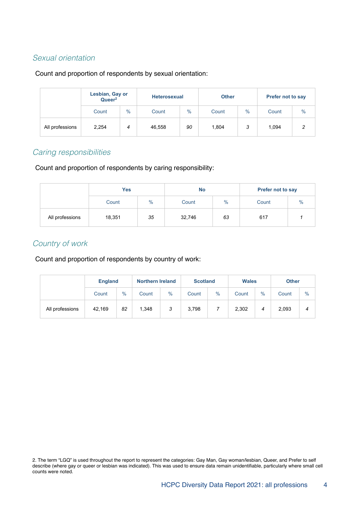## Sexual orientation

#### Count and proportion of respondents by sexual orientation:

|                 | Lesbian, Gay or<br>Queer <sup>2</sup> |               | <b>Heterosexual</b> |      | <b>Other</b> |      | <b>Prefer not to say</b> |               |  |
|-----------------|---------------------------------------|---------------|---------------------|------|--------------|------|--------------------------|---------------|--|
|                 | Count                                 | $\frac{0}{0}$ | Count               | $\%$ | Count        | $\%$ | Count                    | $\frac{0}{0}$ |  |
| All professions | 2,254                                 | 4             | 46,558              | 90   | 1,804        | 3    | 1,094                    | 2             |  |

## Caring responsibilities

Count and proportion of respondents by caring responsibility:

|                 | <b>Yes</b> |      | <b>No</b> |               | <b>Prefer not to say</b> |               |  |
|-----------------|------------|------|-----------|---------------|--------------------------|---------------|--|
|                 | Count      | $\%$ | Count     | $\frac{0}{0}$ | Count                    | $\frac{0}{0}$ |  |
| All professions | 18,351     | 35   | 32,746    | 63            | 617                      |               |  |

# Country of work

Count and proportion of respondents by country of work:

|                 | <b>England</b> |      |       | <b>Northern Ireland</b> |       | <b>Scotland</b> |       | <b>Wales</b> |       | <b>Other</b>  |
|-----------------|----------------|------|-------|-------------------------|-------|-----------------|-------|--------------|-------|---------------|
|                 | Count          | $\%$ | Count | $\%$                    | Count | $\%$            | Count | $\%$         | Count | $\frac{0}{0}$ |
| All professions | 42.169         | 82   | 1,348 | з                       | 3,798 |                 | 2,302 | 4            | 2,093 | 4             |

<sup>2.</sup> The term "LGQ" is used throughout the report to represent the categories: Gay Man, Gay woman/lesbian, Queer, and Prefer to self describe (where gay or queer or lesbian was indicated). This was used to ensure data remain unidentifiable, particularly where small cell counts were noted.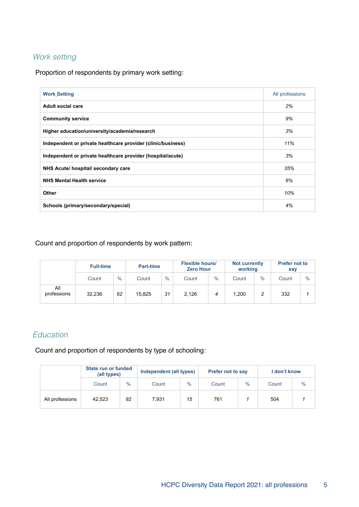# Work setting

Proportion of respondents by primary work setting:

| <b>Work Setting</b>                                          | All professions |
|--------------------------------------------------------------|-----------------|
| <b>Adult social care</b>                                     | 2%              |
| <b>Community service</b>                                     | 9%              |
| Higher education/university/academia/research                | 3%              |
| Independent or private healthcare provider (clinic/business) | 11%             |
| Independent or private healthcare provider (hospital/acute)  | 3%              |
| NHS Acute/ hospital/ secondary care                          | 35%             |
| <b>NHS Mental Health service</b>                             | 6%              |
| Other                                                        | 10%             |
| Schools (primary/secondary/special)                          | 4%              |

#### Count and proportion of respondents by work pattern:

|                    | <b>Full-time</b> |      | <b>Part-time</b> |      | <b>Flexible hours/</b><br><b>Zero Hour</b> |      | <b>Not currently</b><br>working |      | <b>Prefer not to</b><br>say |               |
|--------------------|------------------|------|------------------|------|--------------------------------------------|------|---------------------------------|------|-----------------------------|---------------|
|                    | Count            | $\%$ | Count            | $\%$ | Count                                      | $\%$ | Count                           | $\%$ | Count                       | $\frac{0}{0}$ |
| All<br>professions | 32.236           | 62   | 15,825           | 31   | 2.126                                      | 4    | 1.200                           | 2    | 332                         |               |

# Education

Count and proportion of respondents by type of schooling:

|                 | State run or funded<br>(all types) |      | Independent (all types) |      | <b>Prefer not to say</b> |      | I don't know |               |  |
|-----------------|------------------------------------|------|-------------------------|------|--------------------------|------|--------------|---------------|--|
|                 | Count                              | $\%$ | Count                   | $\%$ | Count                    | $\%$ | Count        | $\frac{0}{0}$ |  |
| All professions | 42,523                             | 82   | 7.931                   | 15   | 761                      |      | 504          |               |  |